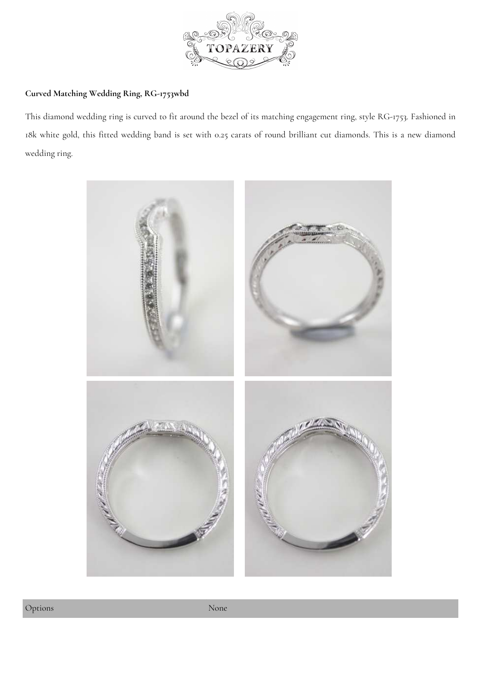

## **Curved Matching Wedding Ring, RG-1753w[bd](https://www.topazery.com)**

This diamond wedding ring is curved to fit around the bezel of its matching engagement ring, style RG-1753. Fashioned in 18k white gold, this fitted wedding band is set with 0.25 carats of round brilliant cut diamonds. This is a new diamond wedding ring.

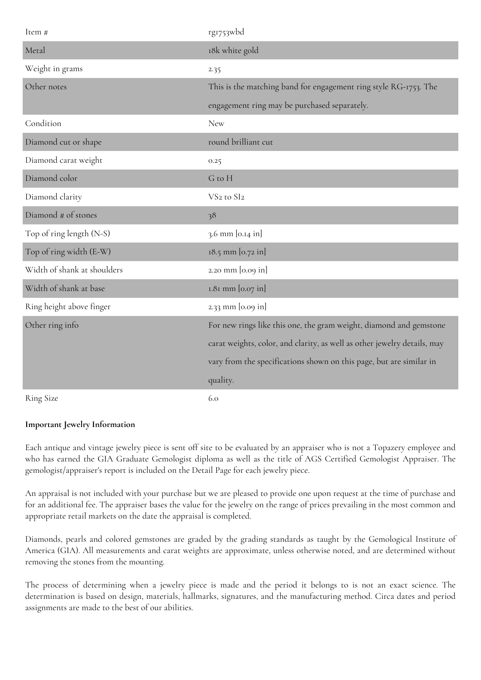| Item #                      | rg1753wbd                                                                |
|-----------------------------|--------------------------------------------------------------------------|
| Metal                       | 18k white gold                                                           |
| Weight in grams             | 2.35                                                                     |
| Other notes                 | This is the matching band for engagement ring style RG-1753. The         |
|                             | engagement ring may be purchased separately.                             |
| Condition                   | <b>New</b>                                                               |
| Diamond cut or shape        | round brilliant cut                                                      |
| Diamond carat weight        | 0.25                                                                     |
| Diamond color               | G to H                                                                   |
| Diamond clarity             | VS <sub>2</sub> to SI <sub>2</sub>                                       |
| Diamond # of stones         | 38                                                                       |
| Top of ring length (N-S)    | 3.6 mm [0.14 in]                                                         |
| Top of ring width (E-W)     | 18.5 mm [0.72 in]                                                        |
| Width of shank at shoulders | 2.20 mm [0.09 in]                                                        |
| Width of shank at base      | 1.81 mm [0.07 in]                                                        |
| Ring height above finger    | 2.33 mm [0.09 in]                                                        |
| Other ring info             | For new rings like this one, the gram weight, diamond and gemstone       |
|                             | carat weights, color, and clarity, as well as other jewelry details, may |
|                             | vary from the specifications shown on this page, but are similar in      |
|                             | quality.                                                                 |
| <b>Ring Size</b>            | 6.0                                                                      |

## **Important Jewelry Information**

Each antique and vintage jewelry piece is sent off site to be evaluated by an appraiser who is not a Topazery employee and who has earned the GIA Graduate Gemologist diploma as well as the title of AGS Certified Gemologist Appraiser. The gemologist/appraiser's report is included on the Detail Page for each jewelry piece.

An appraisal is not included with your purchase but we are pleased to provide one upon request at the time of purchase and for an additional fee. The appraiser bases the value for the jewelry on the range of prices prevailing in the most common and appropriate retail markets on the date the appraisal is completed.

Diamonds, pearls and colored gemstones are graded by the grading standards as taught by the Gemological Institute of America (GIA). All measurements and carat weights are approximate, unless otherwise noted, and are determined without removing the stones from the mounting.

The process of determining when a jewelry piece is made and the period it belongs to is not an exact science. The determination is based on design, materials, hallmarks, signatures, and the manufacturing method. Circa dates and period assignments are made to the best of our abilities.